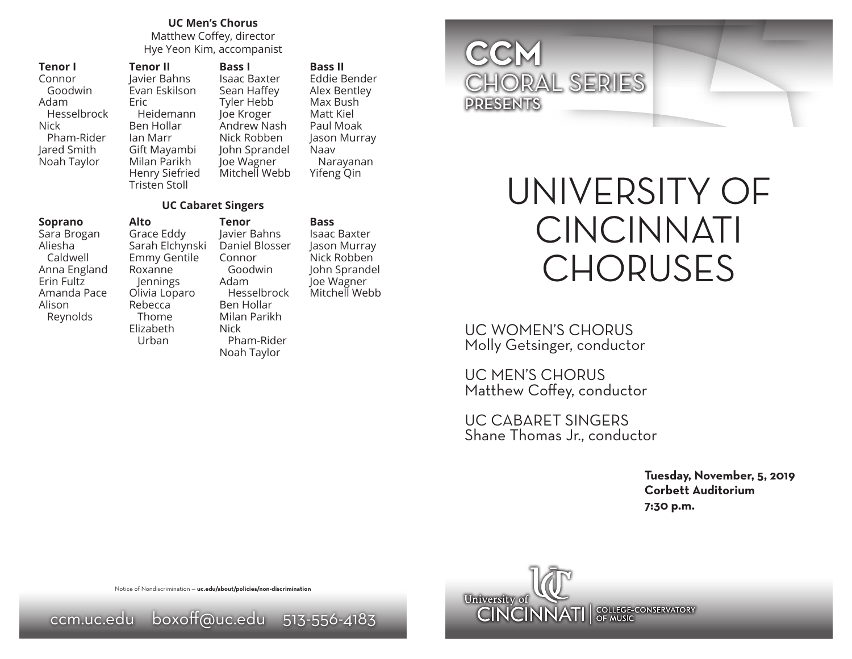## **UC Men's Chorus**

Matthew Coffey, director Hye Yeon Kim, accompanist

| Tenor I     |
|-------------|
| Connor      |
| Goodwin     |
| Adam        |
| Hesselbrock |
| Nick        |
| Pham-Rider  |
| Jared Smith |
| Noah Taylor |
|             |

Eric

**Alto**

**Tenor II** Javier Bahns Evan Eskilson Heidemann Ben Hollar Ian Marr Gift Mayambi Milan Parikh Henry Siefried Tristen Stoll **Bass I** Isaac Baxter Sean Haffey Tyler Hebb Joe Kroger Andrew Nash Nick Robben John Sprandel Joe Wagner Mitchell Webb

#### **Bass II**

Eddie Bender Alex Bentley Max Bush Matt Kiel Paul Moak Jason Murray Naav Narayanan Yifeng Qin

### **UC Cabaret Singers**

### **Soprano**

Sara Brogan Aliesha Caldwell Anna England Erin Fultz Amanda Pace Alison Reynolds

Grace Eddy Sarah Elchynski Emmy Gentile Roxanne Jennings Olivia Loparo Rebecca Thome Elizabeth Urban **Tenor** Javier Bahns Daniel Blosser Connor Goodwin Adam Hesselbrock Ben Hollar Milan Parikh Nick Pham-Rider Noah Taylor

### **Bass**

Isaac Baxter Jason Murray Nick Robben John Sprandel Joe Wagner Mitchell Webb

# **CCM** CHORAL SERIES PRESENTS

# UNIVERSITY OF CINCINNATI CHORUSES

UC WOMEN'S CHORUS Molly Getsinger, conductor

UC MEN'S CHORUS Matthew Coffey, conductor

UC CABARET SINGERS Shane Thomas Jr., conductor

> **Tuesday, November, 5, 2019 Corbett Auditorium 7:30 p.m.**



Notice of Nondiscrimination — **uc.edu/about/policies/non-discrimination**